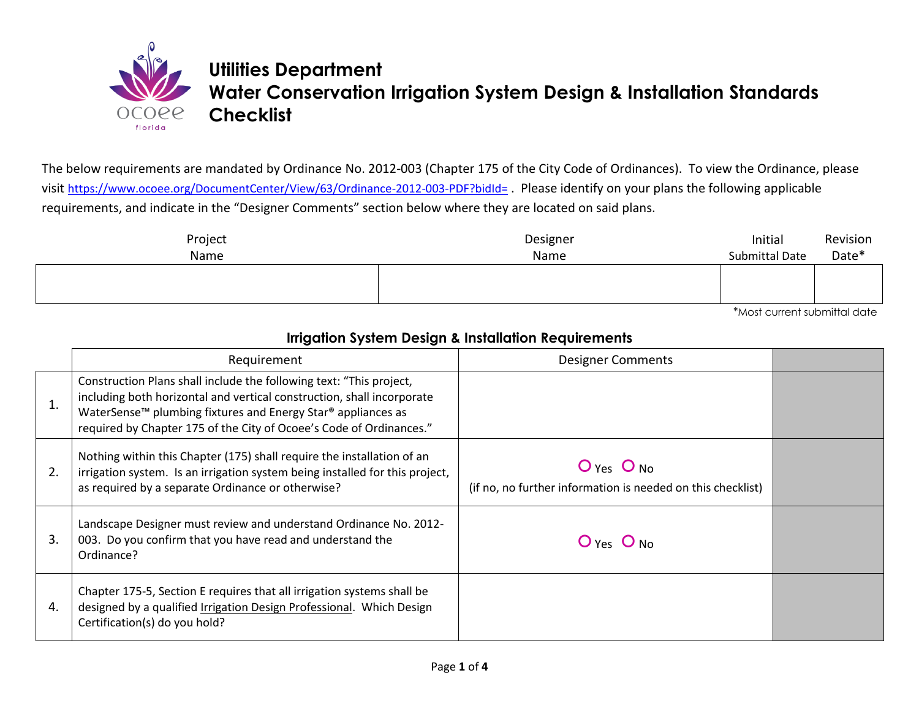

## **Utilities Department Water Conservation Irrigation System Design & Installation Standards Checklist**

The below requirements are mandated by Ordinance No. 2012-003 (Chapter 175 of the City Code of Ordinances). To view the Ordinance, please visit <https://www.ocoee.org/DocumentCenter/View/63/Ordinance-2012-003-PDF?bidId=> . Please identify on your plans the following applicable requirements, and indicate in the "Designer Comments" section below where they are located on said plans.

| Name | Name | Initial<br><b>Submittal Date</b> | Revision<br>Date* |
|------|------|----------------------------------|-------------------|
|      |      |                                  |                   |

\*Most current submittal date

|    | <b>Irrigation System Design &amp; Installation Requirements</b>                                                                                                                                                                                                                                              |                                                                               |  |
|----|--------------------------------------------------------------------------------------------------------------------------------------------------------------------------------------------------------------------------------------------------------------------------------------------------------------|-------------------------------------------------------------------------------|--|
|    | Requirement                                                                                                                                                                                                                                                                                                  | <b>Designer Comments</b>                                                      |  |
| 1. | Construction Plans shall include the following text: "This project,<br>including both horizontal and vertical construction, shall incorporate<br>WaterSense <sup>™</sup> plumbing fixtures and Energy Star <sup>®</sup> appliances as<br>required by Chapter 175 of the City of Ocoee's Code of Ordinances." |                                                                               |  |
| 2. | Nothing within this Chapter (175) shall require the installation of an<br>irrigation system. Is an irrigation system being installed for this project,<br>as required by a separate Ordinance or otherwise?                                                                                                  | $O$ Yes $O$ No<br>(if no, no further information is needed on this checklist) |  |
| 3. | Landscape Designer must review and understand Ordinance No. 2012-<br>003. Do you confirm that you have read and understand the<br>Ordinance?                                                                                                                                                                 | $O$ Yes $O$ No                                                                |  |
| 4. | Chapter 175-5, Section E requires that all irrigation systems shall be<br>designed by a qualified Irrigation Design Professional. Which Design<br>Certification(s) do you hold?                                                                                                                              |                                                                               |  |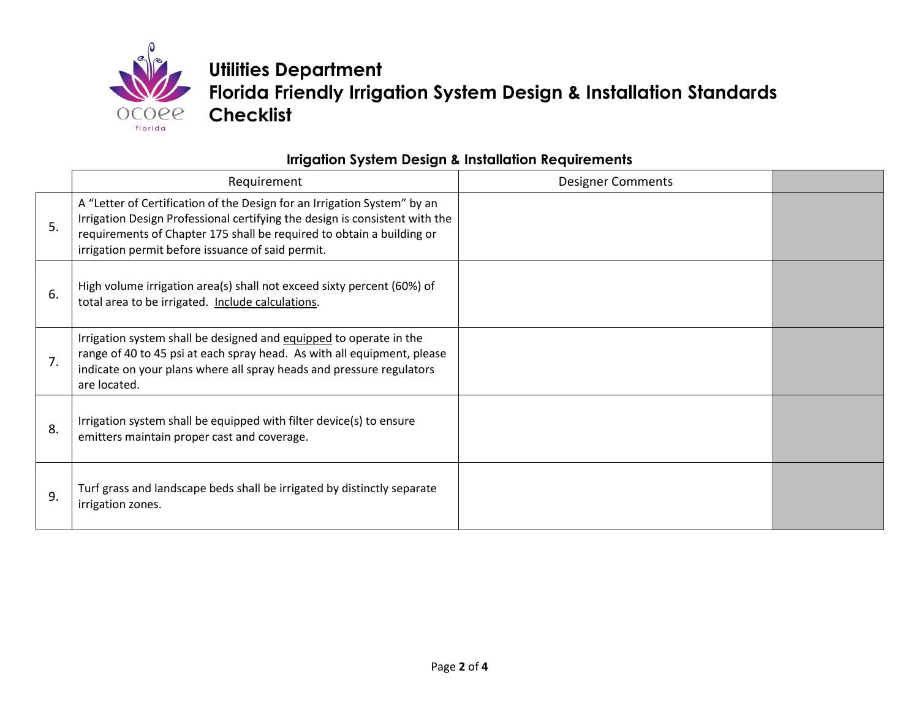

**Utilities Department Florida Friendly Irrigation System Design & Installation Standards Checklist** 

### **Irrigation System Design & Installation Requirements**

|    | Requirement                                                                                                                                                                                                                                                                           | <b>Designer Comments</b> |  |
|----|---------------------------------------------------------------------------------------------------------------------------------------------------------------------------------------------------------------------------------------------------------------------------------------|--------------------------|--|
| 5. | A "Letter of Certification of the Design for an Irrigation System" by an<br>Irrigation Design Professional certifying the design is consistent with the<br>requirements of Chapter 175 shall be required to obtain a building or<br>irrigation permit before issuance of said permit. |                          |  |
| 6. | High volume irrigation area(s) shall not exceed sixty percent (60%) of<br>total area to be irrigated. Include calculations.                                                                                                                                                           |                          |  |
| 7. | Irrigation system shall be designed and equipped to operate in the<br>range of 40 to 45 psi at each spray head. As with all equipment, please<br>indicate on your plans where all spray heads and pressure regulators<br>are located.                                                 |                          |  |
| 8. | Irrigation system shall be equipped with filter device(s) to ensure<br>emitters maintain proper cast and coverage.                                                                                                                                                                    |                          |  |
| 9. | Turf grass and landscape beds shall be irrigated by distinctly separate<br>irrigation zones.                                                                                                                                                                                          |                          |  |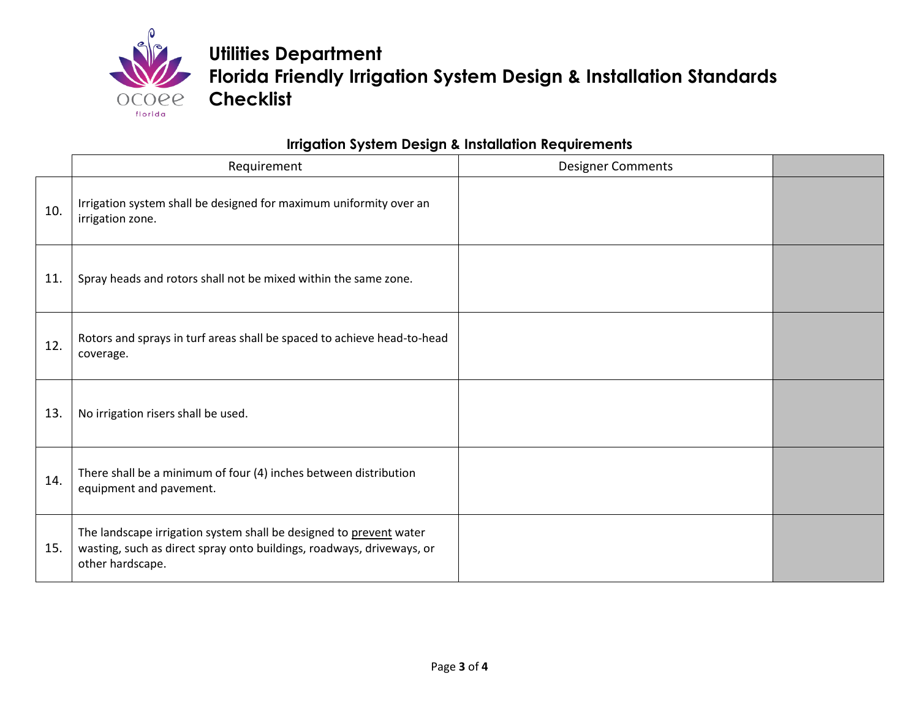

**Utilities Department Florida Friendly Irrigation System Design & Installation Standards Checklist**

## **Irrigation System Design & Installation Requirements**

|     | Requirement                                                                                                                                                     | <b>Designer Comments</b> |  |
|-----|-----------------------------------------------------------------------------------------------------------------------------------------------------------------|--------------------------|--|
| 10. | Irrigation system shall be designed for maximum uniformity over an<br>irrigation zone.                                                                          |                          |  |
| 11. | Spray heads and rotors shall not be mixed within the same zone.                                                                                                 |                          |  |
| 12. | Rotors and sprays in turf areas shall be spaced to achieve head-to-head<br>coverage.                                                                            |                          |  |
| 13. | No irrigation risers shall be used.                                                                                                                             |                          |  |
| 14. | There shall be a minimum of four (4) inches between distribution<br>equipment and pavement.                                                                     |                          |  |
| 15. | The landscape irrigation system shall be designed to prevent water<br>wasting, such as direct spray onto buildings, roadways, driveways, or<br>other hardscape. |                          |  |